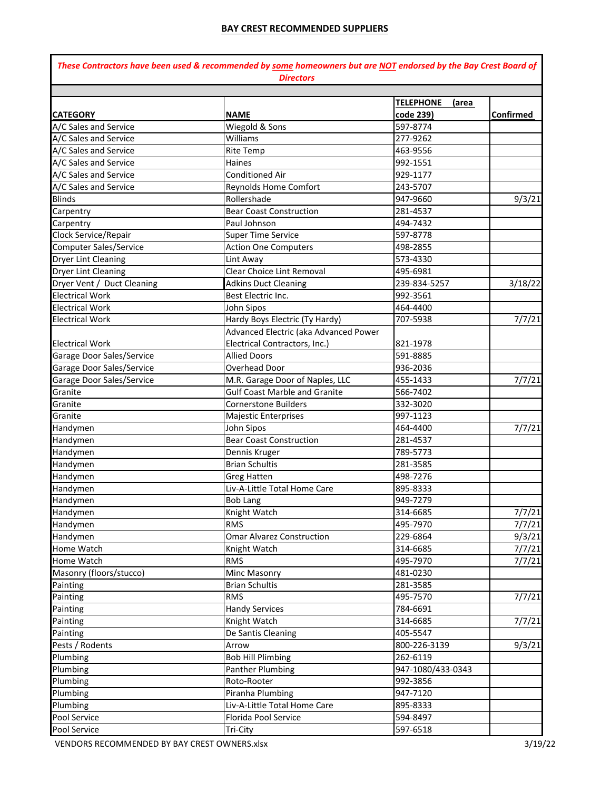|                               | These Contractors have been used & recommended by some homeowners but are NOT endorsed by the Bay Crest Board of<br><b>Directors</b> |                                        |           |  |
|-------------------------------|--------------------------------------------------------------------------------------------------------------------------------------|----------------------------------------|-----------|--|
|                               |                                                                                                                                      |                                        |           |  |
| <b>CATEGORY</b>               | <b>NAME</b>                                                                                                                          | <b>TELEPHONE</b><br>(area<br>code 239) | Confirmed |  |
| A/C Sales and Service         | Wiegold & Sons                                                                                                                       | 597-8774                               |           |  |
| A/C Sales and Service         | Williams                                                                                                                             | 277-9262                               |           |  |
| A/C Sales and Service         | <b>Rite Temp</b>                                                                                                                     | 463-9556                               |           |  |
| A/C Sales and Service         | Haines                                                                                                                               | 992-1551                               |           |  |
| A/C Sales and Service         | <b>Conditioned Air</b>                                                                                                               | 929-1177                               |           |  |
| A/C Sales and Service         | <b>Reynolds Home Comfort</b>                                                                                                         | 243-5707                               |           |  |
| <b>Blinds</b>                 | Rollershade                                                                                                                          | 947-9660                               | 9/3/21    |  |
| Carpentry                     | <b>Bear Coast Construction</b>                                                                                                       | 281-4537                               |           |  |
| Carpentry                     | Paul Johnson                                                                                                                         | 494-7432                               |           |  |
| Clock Service/Repair          | <b>Super Time Service</b>                                                                                                            | 597-8778                               |           |  |
| <b>Computer Sales/Service</b> | <b>Action One Computers</b>                                                                                                          | 498-2855                               |           |  |
| <b>Dryer Lint Cleaning</b>    | Lint Away                                                                                                                            | 573-4330                               |           |  |
| <b>Dryer Lint Cleaning</b>    | Clear Choice Lint Removal                                                                                                            | 495-6981                               |           |  |
| Dryer Vent / Duct Cleaning    | <b>Adkins Duct Cleaning</b>                                                                                                          | 239-834-5257                           | 3/18/22   |  |
| <b>Electrical Work</b>        | Best Electric Inc.                                                                                                                   | 992-3561                               |           |  |
| <b>Electrical Work</b>        | John Sipos                                                                                                                           | 464-4400                               |           |  |
| <b>Electrical Work</b>        | Hardy Boys Electric (Ty Hardy)                                                                                                       | 707-5938                               | 7/7/21    |  |
|                               | Advanced Electric (aka Advanced Power                                                                                                |                                        |           |  |
| <b>Electrical Work</b>        | Electrical Contractors, Inc.)                                                                                                        | 821-1978                               |           |  |
| Garage Door Sales/Service     | <b>Allied Doors</b>                                                                                                                  | 591-8885                               |           |  |
| Garage Door Sales/Service     | Overhead Door                                                                                                                        | 936-2036                               |           |  |
| Garage Door Sales/Service     | M.R. Garage Door of Naples, LLC                                                                                                      | 455-1433                               | 7/7/21    |  |
| Granite                       | <b>Gulf Coast Marble and Granite</b>                                                                                                 | 566-7402                               |           |  |
| Granite                       | <b>Cornerstone Builders</b>                                                                                                          | 332-3020                               |           |  |
| Granite                       | Majestic Enterprises                                                                                                                 | 997-1123                               |           |  |
| Handymen                      | John Sipos                                                                                                                           | 464-4400                               | 7/7/21    |  |
| Handymen                      | <b>Bear Coast Construction</b>                                                                                                       | 281-4537                               |           |  |
| Handymen                      | Dennis Kruger                                                                                                                        | 789-5773                               |           |  |
| Handymen                      | <b>Brian Schultis</b>                                                                                                                | 281-3585                               |           |  |
| Handymen                      | <b>Greg Hatten</b>                                                                                                                   | 498-7276                               |           |  |
| Handymen                      | Liv-A-Little Total Home Care                                                                                                         | 895-8333                               |           |  |
| Handymen                      | <b>Bob Lang</b>                                                                                                                      | 949-7279                               |           |  |
| Handymen                      | Knight Watch                                                                                                                         | 314-6685                               | 7/7/21    |  |
| Handymen                      | <b>RMS</b>                                                                                                                           | 495-7970                               | 7/7/21    |  |
| Handymen                      | <b>Omar Alvarez Construction</b>                                                                                                     | 229-6864                               | 9/3/21    |  |
| Home Watch                    | Knight Watch                                                                                                                         | 314-6685                               | 7/7/21    |  |
| Home Watch                    | <b>RMS</b>                                                                                                                           | 495-7970                               | 7/7/21    |  |
| Masonry (floors/stucco)       | Minc Masonry                                                                                                                         | 481-0230                               |           |  |
| Painting                      | <b>Brian Schultis</b>                                                                                                                | 281-3585                               |           |  |
| Painting                      | <b>RMS</b>                                                                                                                           | 495-7570                               | 7/7/21    |  |
| Painting                      | <b>Handy Services</b>                                                                                                                | 784-6691                               |           |  |
| Painting                      | Knight Watch                                                                                                                         | 314-6685                               | 7/7/21    |  |
| Painting                      | De Santis Cleaning                                                                                                                   | 405-5547                               |           |  |
| Pests / Rodents               | Arrow                                                                                                                                | 800-226-3139                           | 9/3/21    |  |
| Plumbing                      | <b>Bob Hill Plimbing</b>                                                                                                             | 262-6119                               |           |  |
| Plumbing                      | Panther Plumbing                                                                                                                     | 947-1080/433-0343                      |           |  |
| Plumbing                      | Roto-Rooter                                                                                                                          | 992-3856                               |           |  |
| Plumbing                      | Piranha Plumbing                                                                                                                     | 947-7120                               |           |  |
| Plumbing                      | Liv-A-Little Total Home Care                                                                                                         | 895-8333                               |           |  |
| Pool Service                  | Florida Pool Service                                                                                                                 | 594-8497                               |           |  |
| Pool Service                  | Tri-City                                                                                                                             | 597-6518                               |           |  |